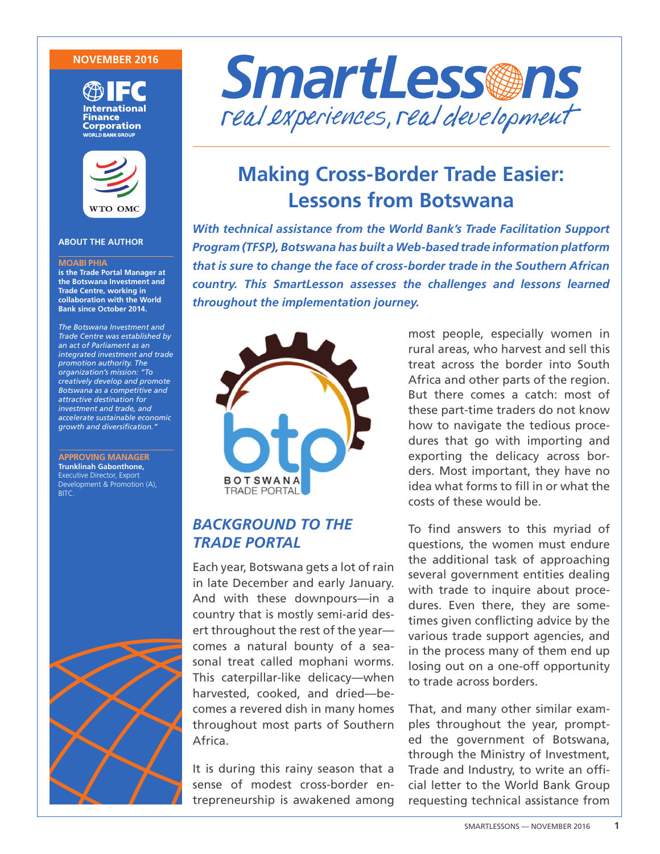#### **NOVEMBER 2016**





#### **ABOUT THE AUTHOR**

#### **MOABI PHIA**

**is the Trade Portal Manager at the Botswana Investment and Trade Centre, working in collaboration with the World Bank since October 2014.** 

*The Botswana Investment and Trade Centre was established by an act of Parliament as an integrated investment and trade promotion authority. The organization's mission: "To creatively develop and promote Botswana as a competitive and attractive destination for investment and trade, and accelerate sustainable economic growth and diversification."*

**APPROVING MANAGER Trunklinah Gabonthone,**  Executive Director, Export Development & Promotion (A), BITC.





# **Making Cross-Border Trade Easier: Lessons from Botswana**

*With technical assistance from the World Bank's Trade Facilitation Support Program (TFSP), Botswana has built a Web-based trade information platform that is sure to change the face of cross-border trade in the Southern African country. This SmartLesson assesses the challenges and lessons learned throughout the implementation journey.*



# *BACKGROUND TO THE TRADE PORTAL*

Each year, Botswana gets a lot of rain in late December and early January. And with these downpours—in a country that is mostly semi-arid desert throughout the rest of the year comes a natural bounty of a seasonal treat called mophani worms. This caterpillar-like delicacy—when harvested, cooked, and dried—becomes a revered dish in many homes throughout most parts of Southern Africa.

It is during this rainy season that a sense of modest cross-border entrepreneurship is awakened among most people, especially women in rural areas, who harvest and sell this treat across the border into South Africa and other parts of the region. But there comes a catch: most of these part-time traders do not know how to navigate the tedious procedures that go with importing and exporting the delicacy across borders. Most important, they have no idea what forms to fill in or what the costs of these would be.

To find answers to this myriad of questions, the women must endure the additional task of approaching several government entities dealing with trade to inquire about procedures. Even there, they are sometimes given conflicting advice by the various trade support agencies, and in the process many of them end up losing out on a one-off opportunity to trade across borders.

That, and many other similar examples throughout the year, prompted the government of Botswana, through the Ministry of Investment, Trade and Industry, to write an official letter to the World Bank Group requesting technical assistance from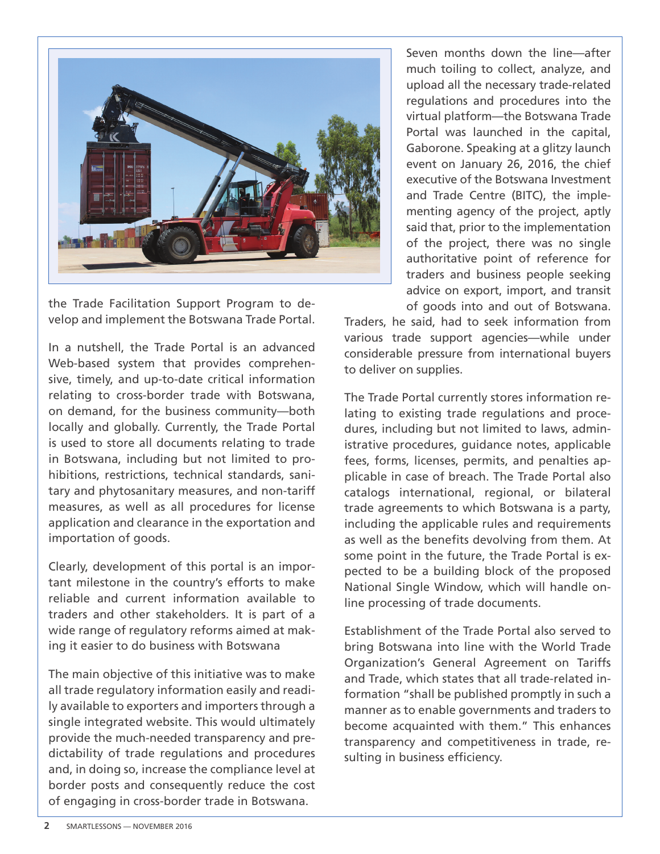

the Trade Facilitation Support Program to develop and implement the Botswana Trade Portal.

In a nutshell, the Trade Portal is an advanced Web-based system that provides comprehensive, timely, and up-to-date critical information relating to cross-border trade with Botswana, on demand, for the business community—both locally and globally. Currently, the Trade Portal is used to store all documents relating to trade in Botswana, including but not limited to prohibitions, restrictions, technical standards, sanitary and phytosanitary measures, and non-tariff measures, as well as all procedures for license application and clearance in the exportation and importation of goods.

Clearly, development of this portal is an important milestone in the country's efforts to make reliable and current information available to traders and other stakeholders. It is part of a wide range of regulatory reforms aimed at making it easier to do business with Botswana

The main objective of this initiative was to make all trade regulatory information easily and readily available to exporters and importers through a single integrated website. This would ultimately provide the much-needed transparency and predictability of trade regulations and procedures and, in doing so, increase the compliance level at border posts and consequently reduce the cost of engaging in cross-border trade in Botswana.

Seven months down the line—after much toiling to collect, analyze, and upload all the necessary trade-related regulations and procedures into the virtual platform—the Botswana Trade Portal was launched in the capital, Gaborone. Speaking at a glitzy launch event on January 26, 2016, the chief executive of the Botswana Investment and Trade Centre (BITC), the implementing agency of the project, aptly said that, prior to the implementation of the project, there was no single authoritative point of reference for traders and business people seeking advice on export, import, and transit of goods into and out of Botswana.

Traders, he said, had to seek information from various trade support agencies—while under considerable pressure from international buyers to deliver on supplies.

The Trade Portal currently stores information relating to existing trade regulations and procedures, including but not limited to laws, administrative procedures, guidance notes, applicable fees, forms, licenses, permits, and penalties applicable in case of breach. The Trade Portal also catalogs international, regional, or bilateral trade agreements to which Botswana is a party, including the applicable rules and requirements as well as the benefits devolving from them. At some point in the future, the Trade Portal is expected to be a building block of the proposed National Single Window, which will handle online processing of trade documents.

Establishment of the Trade Portal also served to bring Botswana into line with the World Trade Organization's General Agreement on Tariffs and Trade, which states that all trade-related information "shall be published promptly in such a manner as to enable governments and traders to become acquainted with them." This enhances transparency and competitiveness in trade, resulting in business efficiency.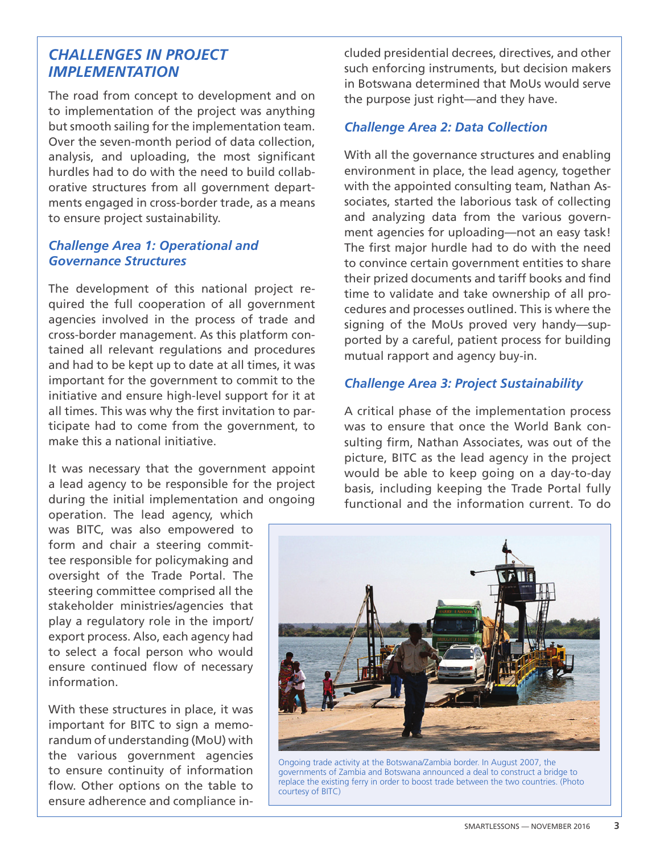## *CHALLENGES IN PROJECT IMPLEMENTATION*

The road from concept to development and on to implementation of the project was anything but smooth sailing for the implementation team. Over the seven-month period of data collection, analysis, and uploading, the most significant hurdles had to do with the need to build collaborative structures from all government departments engaged in cross-border trade, as a means to ensure project sustainability.

### *Challenge Area 1: Operational and Governance Structures*

The development of this national project required the full cooperation of all government agencies involved in the process of trade and cross-border management. As this platform contained all relevant regulations and procedures and had to be kept up to date at all times, it was important for the government to commit to the initiative and ensure high-level support for it at all times. This was why the first invitation to participate had to come from the government, to make this a national initiative.

It was necessary that the government appoint a lead agency to be responsible for the project during the initial implementation and ongoing

operation. The lead agency, which was BITC, was also empowered to form and chair a steering committee responsible for policymaking and oversight of the Trade Portal. The steering committee comprised all the stakeholder ministries/agencies that play a regulatory role in the import/ export process. Also, each agency had to select a focal person who would ensure continued flow of necessary information.

With these structures in place, it was important for BITC to sign a memorandum of understanding (MoU) with the various government agencies to ensure continuity of information flow. Other options on the table to ensure adherence and compliance in-

cluded presidential decrees, directives, and other such enforcing instruments, but decision makers in Botswana determined that MoUs would serve the purpose just right—and they have.

### *Challenge Area 2: Data Collection*

With all the governance structures and enabling environment in place, the lead agency, together with the appointed consulting team, Nathan Associates, started the laborious task of collecting and analyzing data from the various government agencies for uploading—not an easy task! The first major hurdle had to do with the need to convince certain government entities to share their prized documents and tariff books and find time to validate and take ownership of all procedures and processes outlined. This is where the signing of the MoUs proved very handy—supported by a careful, patient process for building mutual rapport and agency buy-in.

#### *Challenge Area 3: Project Sustainability*

A critical phase of the implementation process was to ensure that once the World Bank consulting firm, Nathan Associates, was out of the picture, BITC as the lead agency in the project would be able to keep going on a day-to-day basis, including keeping the Trade Portal fully functional and the information current. To do



Ongoing trade activity at the Botswana/Zambia border. In August 2007, the governments of Zambia and Botswana announced a deal to construct a bridge to replace the existing ferry in order to boost trade between the two countries. (Photo courtesy of BITC)